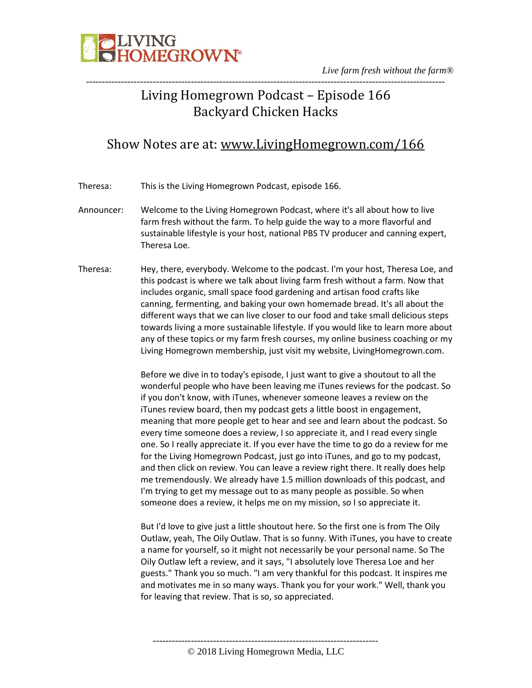

*Live farm fresh without the farm®* -----------------------------------------------------------------------------------------------------------------

### Living Homegrown Podcast – Episode 166 Backyard Chicken Hacks

### Show Notes are at: [www.LivingHomegrown.com/166](http://www.livinghomegrown.com/166)

Theresa: This is the Living Homegrown Podcast, episode 166.

- Announcer: Welcome to the Living Homegrown Podcast, where it's all about how to live farm fresh without the farm. To help guide the way to a more flavorful and sustainable lifestyle is your host, national PBS TV producer and canning expert, Theresa Loe.
- Theresa: Hey, there, everybody. Welcome to the podcast. I'm your host, Theresa Loe, and this podcast is where we talk about living farm fresh without a farm. Now that includes organic, small space food gardening and artisan food crafts like canning, fermenting, and baking your own homemade bread. It's all about the different ways that we can live closer to our food and take small delicious steps towards living a more sustainable lifestyle. If you would like to learn more about any of these topics or my farm fresh courses, my online business coaching or my Living Homegrown membership, just visit my website, LivingHomegrown.com.

Before we dive in to today's episode, I just want to give a shoutout to all the wonderful people who have been leaving me iTunes reviews for the podcast. So if you don't know, with iTunes, whenever someone leaves a review on the iTunes review board, then my podcast gets a little boost in engagement, meaning that more people get to hear and see and learn about the podcast. So every time someone does a review, I so appreciate it, and I read every single one. So I really appreciate it. If you ever have the time to go do a review for me for the Living Homegrown Podcast, just go into iTunes, and go to my podcast, and then click on review. You can leave a review right there. It really does help me tremendously. We already have 1.5 million downloads of this podcast, and I'm trying to get my message out to as many people as possible. So when someone does a review, it helps me on my mission, so I so appreciate it.

But I'd love to give just a little shoutout here. So the first one is from The Oily Outlaw, yeah, The Oily Outlaw. That is so funny. With iTunes, you have to create a name for yourself, so it might not necessarily be your personal name. So The Oily Outlaw left a review, and it says, "I absolutely love Theresa Loe and her guests." Thank you so much. "I am very thankful for this podcast. It inspires me and motivates me in so many ways. Thank you for your work." Well, thank you for leaving that review. That is so, so appreciated.

----------------------------------------------------------------------- © 2018 Living Homegrown Media, LLC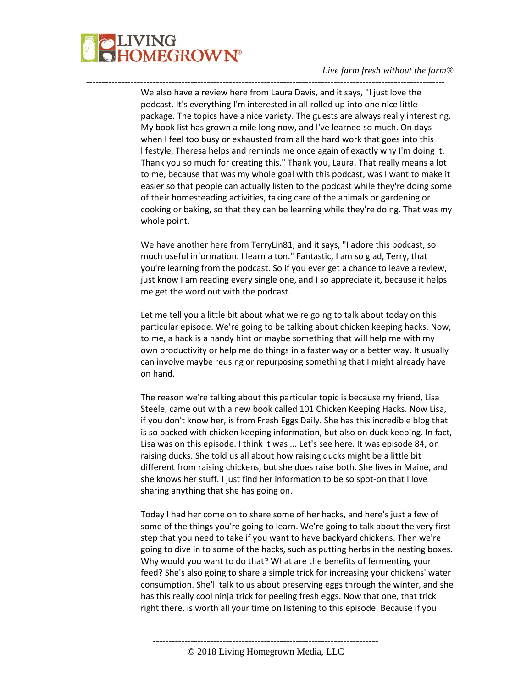

We also have a review here from Laura Davis, and it says, "I just love the podcast. It's everything I'm interested in all rolled up into one nice little package. The topics have a nice variety. The guests are always really interesting. My book list has grown a mile long now, and I've learned so much. On days when I feel too busy or exhausted from all the hard work that goes into this lifestyle, Theresa helps and reminds me once again of exactly why I'm doing it. Thank you so much for creating this." Thank you, Laura. That really means a lot to me, because that was my whole goal with this podcast, was I want to make it easier so that people can actually listen to the podcast while they're doing some of their homesteading activities, taking care of the animals or gardening or cooking or baking, so that they can be learning while they're doing. That was my whole point.

-----------------------------------------------------------------------------------------------------------------

We have another here from TerryLin81, and it says, "I adore this podcast, so much useful information. I learn a ton." Fantastic, I am so glad, Terry, that you're learning from the podcast. So if you ever get a chance to leave a review, just know I am reading every single one, and I so appreciate it, because it helps me get the word out with the podcast.

Let me tell you a little bit about what we're going to talk about today on this particular episode. We're going to be talking about chicken keeping hacks. Now, to me, a hack is a handy hint or maybe something that will help me with my own productivity or help me do things in a faster way or a better way. It usually can involve maybe reusing or repurposing something that I might already have on hand.

The reason we're talking about this particular topic is because my friend, Lisa Steele, came out with a new book called 101 Chicken Keeping Hacks. Now Lisa, if you don't know her, is from Fresh Eggs Daily. She has this incredible blog that is so packed with chicken keeping information, but also on duck keeping. In fact, Lisa was on this episode. I think it was ... Let's see here. It was episode 84, on raising ducks. She told us all about how raising ducks might be a little bit different from raising chickens, but she does raise both. She lives in Maine, and she knows her stuff. I just find her information to be so spot-on that I love sharing anything that she has going on.

Today I had her come on to share some of her hacks, and here's just a few of some of the things you're going to learn. We're going to talk about the very first step that you need to take if you want to have backyard chickens. Then we're going to dive in to some of the hacks, such as putting herbs in the nesting boxes. Why would you want to do that? What are the benefits of fermenting your feed? She's also going to share a simple trick for increasing your chickens' water consumption. She'll talk to us about preserving eggs through the winter, and she has this really cool ninja trick for peeling fresh eggs. Now that one, that trick right there, is worth all your time on listening to this episode. Because if you

© 2018 Living Homegrown Media, LLC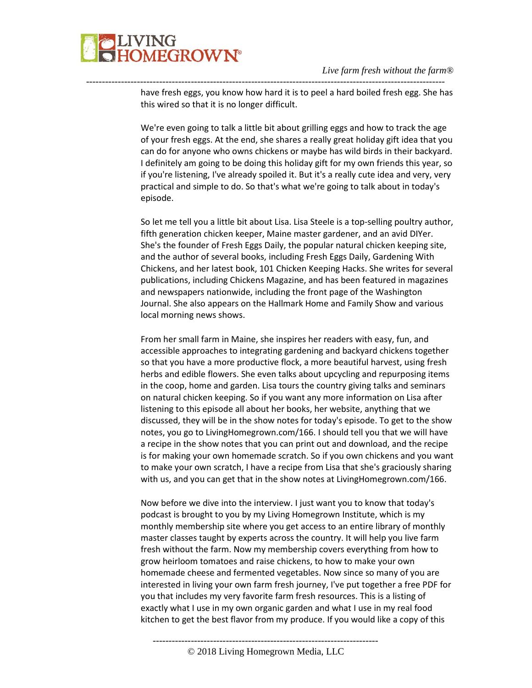

---------------------------------------------------------------------------------------------------------------- have fresh eggs, you know how hard it is to peel a hard boiled fresh egg. She has this wired so that it is no longer difficult.

> We're even going to talk a little bit about grilling eggs and how to track the age of your fresh eggs. At the end, she shares a really great holiday gift idea that you can do for anyone who owns chickens or maybe has wild birds in their backyard. I definitely am going to be doing this holiday gift for my own friends this year, so if you're listening, I've already spoiled it. But it's a really cute idea and very, very practical and simple to do. So that's what we're going to talk about in today's episode.

> So let me tell you a little bit about Lisa. Lisa Steele is a top-selling poultry author, fifth generation chicken keeper, Maine master gardener, and an avid DIYer. She's the founder of Fresh Eggs Daily, the popular natural chicken keeping site, and the author of several books, including Fresh Eggs Daily, Gardening With Chickens, and her latest book, 101 Chicken Keeping Hacks. She writes for several publications, including Chickens Magazine, and has been featured in magazines and newspapers nationwide, including the front page of the Washington Journal. She also appears on the Hallmark Home and Family Show and various local morning news shows.

> From her small farm in Maine, she inspires her readers with easy, fun, and accessible approaches to integrating gardening and backyard chickens together so that you have a more productive flock, a more beautiful harvest, using fresh herbs and edible flowers. She even talks about upcycling and repurposing items in the coop, home and garden. Lisa tours the country giving talks and seminars on natural chicken keeping. So if you want any more information on Lisa after listening to this episode all about her books, her website, anything that we discussed, they will be in the show notes for today's episode. To get to the show notes, you go to LivingHomegrown.com/166. I should tell you that we will have a recipe in the show notes that you can print out and download, and the recipe is for making your own homemade scratch. So if you own chickens and you want to make your own scratch, I have a recipe from Lisa that she's graciously sharing with us, and you can get that in the show notes at LivingHomegrown.com/166.

> Now before we dive into the interview. I just want you to know that today's podcast is brought to you by my Living Homegrown Institute, which is my monthly membership site where you get access to an entire library of monthly master classes taught by experts across the country. It will help you live farm fresh without the farm. Now my membership covers everything from how to grow heirloom tomatoes and raise chickens, to how to make your own homemade cheese and fermented vegetables. Now since so many of you are interested in living your own farm fresh journey, I've put together a free PDF for you that includes my very favorite farm fresh resources. This is a listing of exactly what I use in my own organic garden and what I use in my real food kitchen to get the best flavor from my produce. If you would like a copy of this

-----------------------------------------------------------------------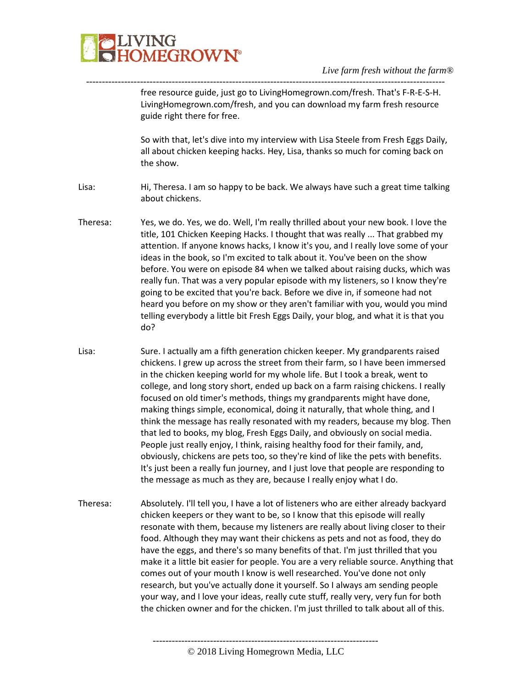

free resource guide, just go to LivingHomegrown.com/fresh. That's F-R-E-S-H. LivingHomegrown.com/fresh, and you can download my farm fresh resource guide right there for free.

So with that, let's dive into my interview with Lisa Steele from Fresh Eggs Daily, all about chicken keeping hacks. Hey, Lisa, thanks so much for coming back on the show.

Lisa: Hi, Theresa. I am so happy to be back. We always have such a great time talking about chickens.

-----------------------------------------------------------------------------------------------------------------

- Theresa: Yes, we do. Yes, we do. Well, I'm really thrilled about your new book. I love the title, 101 Chicken Keeping Hacks. I thought that was really ... That grabbed my attention. If anyone knows hacks, I know it's you, and I really love some of your ideas in the book, so I'm excited to talk about it. You've been on the show before. You were on episode 84 when we talked about raising ducks, which was really fun. That was a very popular episode with my listeners, so I know they're going to be excited that you're back. Before we dive in, if someone had not heard you before on my show or they aren't familiar with you, would you mind telling everybody a little bit Fresh Eggs Daily, your blog, and what it is that you do?
- Lisa: Sure. I actually am a fifth generation chicken keeper. My grandparents raised chickens. I grew up across the street from their farm, so I have been immersed in the chicken keeping world for my whole life. But I took a break, went to college, and long story short, ended up back on a farm raising chickens. I really focused on old timer's methods, things my grandparents might have done, making things simple, economical, doing it naturally, that whole thing, and I think the message has really resonated with my readers, because my blog. Then that led to books, my blog, Fresh Eggs Daily, and obviously on social media. People just really enjoy, I think, raising healthy food for their family, and, obviously, chickens are pets too, so they're kind of like the pets with benefits. It's just been a really fun journey, and I just love that people are responding to the message as much as they are, because I really enjoy what I do.
- Theresa: Absolutely. I'll tell you, I have a lot of listeners who are either already backyard chicken keepers or they want to be, so I know that this episode will really resonate with them, because my listeners are really about living closer to their food. Although they may want their chickens as pets and not as food, they do have the eggs, and there's so many benefits of that. I'm just thrilled that you make it a little bit easier for people. You are a very reliable source. Anything that comes out of your mouth I know is well researched. You've done not only research, but you've actually done it yourself. So I always am sending people your way, and I love your ideas, really cute stuff, really very, very fun for both the chicken owner and for the chicken. I'm just thrilled to talk about all of this.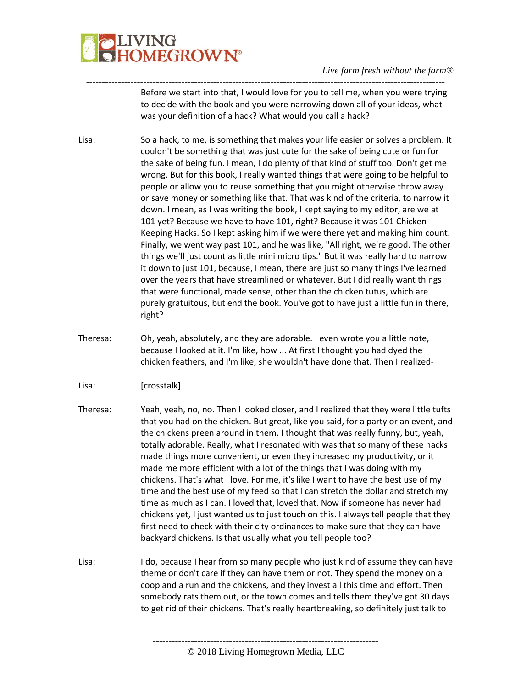

Before we start into that, I would love for you to tell me, when you were trying to decide with the book and you were narrowing down all of your ideas, what was your definition of a hack? What would you call a hack?

Lisa: So a hack, to me, is something that makes your life easier or solves a problem. It couldn't be something that was just cute for the sake of being cute or fun for the sake of being fun. I mean, I do plenty of that kind of stuff too. Don't get me wrong. But for this book, I really wanted things that were going to be helpful to people or allow you to reuse something that you might otherwise throw away or save money or something like that. That was kind of the criteria, to narrow it down. I mean, as I was writing the book, I kept saying to my editor, are we at 101 yet? Because we have to have 101, right? Because it was 101 Chicken Keeping Hacks. So I kept asking him if we were there yet and making him count. Finally, we went way past 101, and he was like, "All right, we're good. The other things we'll just count as little mini micro tips." But it was really hard to narrow it down to just 101, because, I mean, there are just so many things I've learned over the years that have streamlined or whatever. But I did really want things that were functional, made sense, other than the chicken tutus, which are purely gratuitous, but end the book. You've got to have just a little fun in there, right?

-----------------------------------------------------------------------------------------------------------------

- Theresa: Oh, yeah, absolutely, and they are adorable. I even wrote you a little note, because I looked at it. I'm like, how ... At first I thought you had dyed the chicken feathers, and I'm like, she wouldn't have done that. Then I realized-
- Lisa: [crosstalk]
- Theresa: Yeah, yeah, no, no. Then I looked closer, and I realized that they were little tufts that you had on the chicken. But great, like you said, for a party or an event, and the chickens preen around in them. I thought that was really funny, but, yeah, totally adorable. Really, what I resonated with was that so many of these hacks made things more convenient, or even they increased my productivity, or it made me more efficient with a lot of the things that I was doing with my chickens. That's what I love. For me, it's like I want to have the best use of my time and the best use of my feed so that I can stretch the dollar and stretch my time as much as I can. I loved that, loved that. Now if someone has never had chickens yet, I just wanted us to just touch on this. I always tell people that they first need to check with their city ordinances to make sure that they can have backyard chickens. Is that usually what you tell people too?
- Lisa: I do, because I hear from so many people who just kind of assume they can have theme or don't care if they can have them or not. They spend the money on a coop and a run and the chickens, and they invest all this time and effort. Then somebody rats them out, or the town comes and tells them they've got 30 days to get rid of their chickens. That's really heartbreaking, so definitely just talk to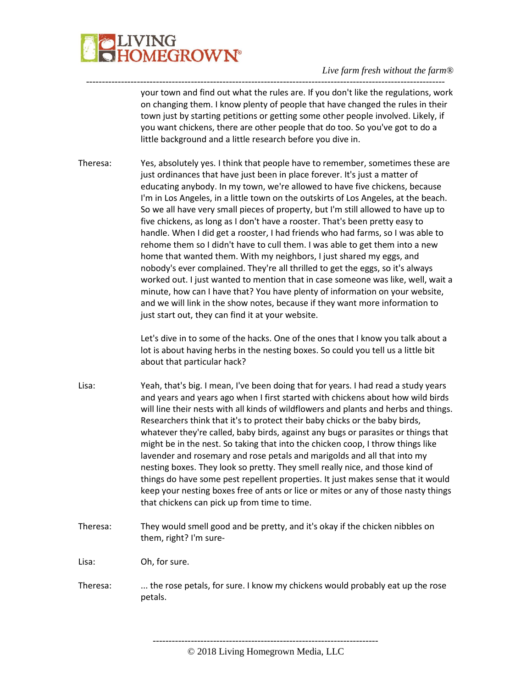

your town and find out what the rules are. If you don't like the regulations, work on changing them. I know plenty of people that have changed the rules in their town just by starting petitions or getting some other people involved. Likely, if you want chickens, there are other people that do too. So you've got to do a little background and a little research before you dive in.

Theresa: Yes, absolutely yes. I think that people have to remember, sometimes these are just ordinances that have just been in place forever. It's just a matter of educating anybody. In my town, we're allowed to have five chickens, because I'm in Los Angeles, in a little town on the outskirts of Los Angeles, at the beach. So we all have very small pieces of property, but I'm still allowed to have up to five chickens, as long as I don't have a rooster. That's been pretty easy to handle. When I did get a rooster, I had friends who had farms, so I was able to rehome them so I didn't have to cull them. I was able to get them into a new home that wanted them. With my neighbors, I just shared my eggs, and nobody's ever complained. They're all thrilled to get the eggs, so it's always worked out. I just wanted to mention that in case someone was like, well, wait a minute, how can I have that? You have plenty of information on your website, and we will link in the show notes, because if they want more information to just start out, they can find it at your website.

-----------------------------------------------------------------------------------------------------------------

Let's dive in to some of the hacks. One of the ones that I know you talk about a lot is about having herbs in the nesting boxes. So could you tell us a little bit about that particular hack?

- Lisa: Yeah, that's big. I mean, I've been doing that for years. I had read a study years and years and years ago when I first started with chickens about how wild birds will line their nests with all kinds of wildflowers and plants and herbs and things. Researchers think that it's to protect their baby chicks or the baby birds, whatever they're called, baby birds, against any bugs or parasites or things that might be in the nest. So taking that into the chicken coop, I throw things like lavender and rosemary and rose petals and marigolds and all that into my nesting boxes. They look so pretty. They smell really nice, and those kind of things do have some pest repellent properties. It just makes sense that it would keep your nesting boxes free of ants or lice or mites or any of those nasty things that chickens can pick up from time to time.
- Theresa: They would smell good and be pretty, and it's okay if the chicken nibbles on them, right? I'm sure-

Lisa: Oh, for sure.

Theresa: ... the rose petals, for sure. I know my chickens would probably eat up the rose petals.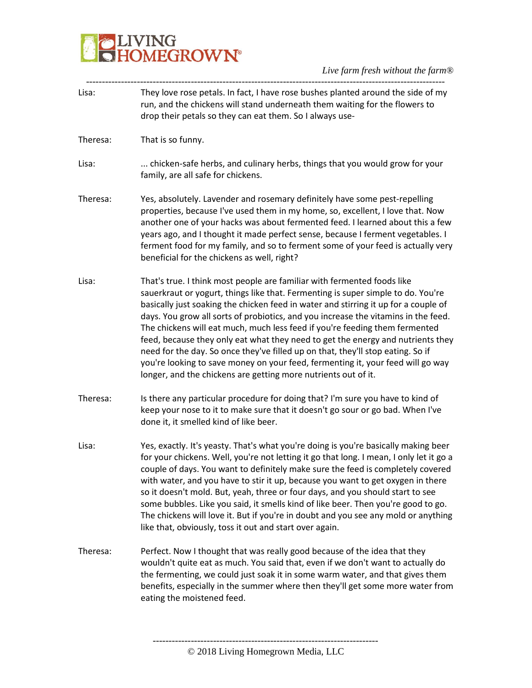## **BELIVING**<br>**BELIVING**<br> **BELIVING**

### *Live farm fresh without the farm®*

| Lisa:    | They love rose petals. In fact, I have rose bushes planted around the side of my<br>run, and the chickens will stand underneath them waiting for the flowers to<br>drop their petals so they can eat them. So I always use-                                                                                                                                                                                                                                                                                                                                                                                                                                                                                                                        |
|----------|----------------------------------------------------------------------------------------------------------------------------------------------------------------------------------------------------------------------------------------------------------------------------------------------------------------------------------------------------------------------------------------------------------------------------------------------------------------------------------------------------------------------------------------------------------------------------------------------------------------------------------------------------------------------------------------------------------------------------------------------------|
| Theresa: | That is so funny.                                                                                                                                                                                                                                                                                                                                                                                                                                                                                                                                                                                                                                                                                                                                  |
| Lisa:    | chicken-safe herbs, and culinary herbs, things that you would grow for your<br>family, are all safe for chickens.                                                                                                                                                                                                                                                                                                                                                                                                                                                                                                                                                                                                                                  |
| Theresa: | Yes, absolutely. Lavender and rosemary definitely have some pest-repelling<br>properties, because I've used them in my home, so, excellent, I love that. Now<br>another one of your hacks was about fermented feed. I learned about this a few<br>years ago, and I thought it made perfect sense, because I ferment vegetables. I<br>ferment food for my family, and so to ferment some of your feed is actually very<br>beneficial for the chickens as well, right?                                                                                                                                                                                                                                                                               |
| Lisa:    | That's true. I think most people are familiar with fermented foods like<br>sauerkraut or yogurt, things like that. Fermenting is super simple to do. You're<br>basically just soaking the chicken feed in water and stirring it up for a couple of<br>days. You grow all sorts of probiotics, and you increase the vitamins in the feed.<br>The chickens will eat much, much less feed if you're feeding them fermented<br>feed, because they only eat what they need to get the energy and nutrients they<br>need for the day. So once they've filled up on that, they'll stop eating. So if<br>you're looking to save money on your feed, fermenting it, your feed will go way<br>longer, and the chickens are getting more nutrients out of it. |
| Theresa: | Is there any particular procedure for doing that? I'm sure you have to kind of<br>keep your nose to it to make sure that it doesn't go sour or go bad. When I've<br>done it, it smelled kind of like beer.                                                                                                                                                                                                                                                                                                                                                                                                                                                                                                                                         |
| Lisa:    | Yes, exactly. It's yeasty. That's what you're doing is you're basically making beer<br>for your chickens. Well, you're not letting it go that long. I mean, I only let it go a<br>couple of days. You want to definitely make sure the feed is completely covered<br>with water, and you have to stir it up, because you want to get oxygen in there<br>so it doesn't mold. But, yeah, three or four days, and you should start to see<br>some bubbles. Like you said, it smells kind of like beer. Then you're good to go.<br>The chickens will love it. But if you're in doubt and you see any mold or anything<br>like that, obviously, toss it out and start over again.                                                                       |
| Theresa: | Perfect. Now I thought that was really good because of the idea that they<br>wouldn't quite eat as much. You said that, even if we don't want to actually do<br>the fermenting, we could just soak it in some warm water, and that gives them<br>benefits, especially in the summer where then they'll get some more water from<br>eating the moistened feed.                                                                                                                                                                                                                                                                                                                                                                                      |
|          |                                                                                                                                                                                                                                                                                                                                                                                                                                                                                                                                                                                                                                                                                                                                                    |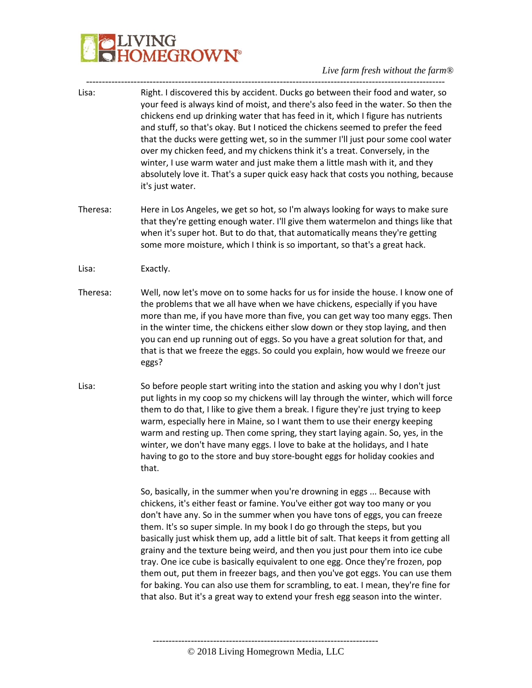# VING<br>DM<mark>EGROWN®</mark>

#### *Live farm fresh without the farm®*

Lisa: Right. I discovered this by accident. Ducks go between their food and water, so your feed is always kind of moist, and there's also feed in the water. So then the chickens end up drinking water that has feed in it, which I figure has nutrients and stuff, so that's okay. But I noticed the chickens seemed to prefer the feed that the ducks were getting wet, so in the summer I'll just pour some cool water over my chicken feed, and my chickens think it's a treat. Conversely, in the winter, I use warm water and just make them a little mash with it, and they absolutely love it. That's a super quick easy hack that costs you nothing, because it's just water. Theresa: Here in Los Angeles, we get so hot, so I'm always looking for ways to make sure that they're getting enough water. I'll give them watermelon and things like that when it's super hot. But to do that, that automatically means they're getting some more moisture, which I think is so important, so that's a great hack. Lisa: Exactly. Theresa: Well, now let's move on to some hacks for us for inside the house. I know one of the problems that we all have when we have chickens, especially if you have more than me, if you have more than five, you can get way too many eggs. Then in the winter time, the chickens either slow down or they stop laying, and then you can end up running out of eggs. So you have a great solution for that, and that is that we freeze the eggs. So could you explain, how would we freeze our eggs? Lisa: So before people start writing into the station and asking you why I don't just put lights in my coop so my chickens will lay through the winter, which will force them to do that, I like to give them a break. I figure they're just trying to keep warm, especially here in Maine, so I want them to use their energy keeping warm and resting up. Then come spring, they start laying again. So, yes, in the winter, we don't have many eggs. I love to bake at the holidays, and I hate having to go to the store and buy store-bought eggs for holiday cookies and that. So, basically, in the summer when you're drowning in eggs ... Because with chickens, it's either feast or famine. You've either got way too many or you don't have any. So in the summer when you have tons of eggs, you can freeze them. It's so super simple. In my book I do go through the steps, but you basically just whisk them up, add a little bit of salt. That keeps it from getting all grainy and the texture being weird, and then you just pour them into ice cube tray. One ice cube is basically equivalent to one egg. Once they're frozen, pop them out, put them in freezer bags, and then you've got eggs. You can use them for baking. You can also use them for scrambling, to eat. I mean, they're fine for that also. But it's a great way to extend your fresh egg season into the winter.

-----------------------------------------------------------------------------------------------------------------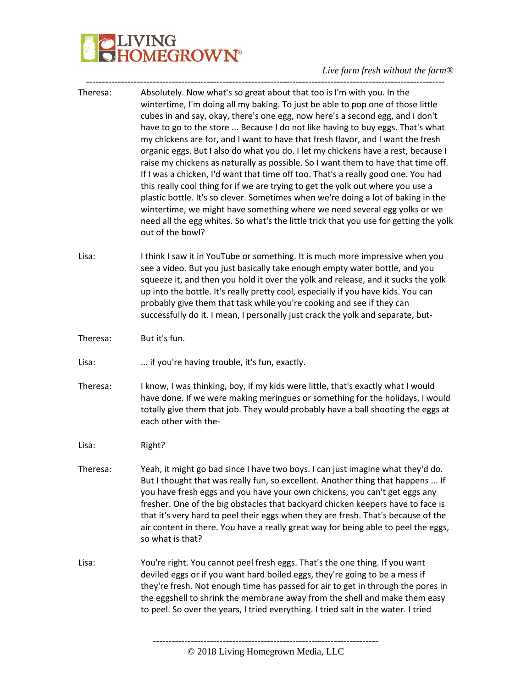## **PLIVING**<br>CHOMEGROWN®

### *Live farm fresh without the farm®*

| Absolutely. Now what's so great about that too is I'm with you. In the<br>wintertime, I'm doing all my baking. To just be able to pop one of those little<br>cubes in and say, okay, there's one egg, now here's a second egg, and I don't<br>have to go to the store  Because I do not like having to buy eggs. That's what<br>my chickens are for, and I want to have that fresh flavor, and I want the fresh<br>organic eggs. But I also do what you do. I let my chickens have a rest, because I<br>raise my chickens as naturally as possible. So I want them to have that time off.<br>If I was a chicken, I'd want that time off too. That's a really good one. You had<br>this really cool thing for if we are trying to get the yolk out where you use a<br>plastic bottle. It's so clever. Sometimes when we're doing a lot of baking in the<br>wintertime, we might have something where we need several egg yolks or we<br>need all the egg whites. So what's the little trick that you use for getting the yolk |
|------------------------------------------------------------------------------------------------------------------------------------------------------------------------------------------------------------------------------------------------------------------------------------------------------------------------------------------------------------------------------------------------------------------------------------------------------------------------------------------------------------------------------------------------------------------------------------------------------------------------------------------------------------------------------------------------------------------------------------------------------------------------------------------------------------------------------------------------------------------------------------------------------------------------------------------------------------------------------------------------------------------------------|
| I think I saw it in YouTube or something. It is much more impressive when you<br>see a video. But you just basically take enough empty water bottle, and you<br>squeeze it, and then you hold it over the yolk and release, and it sucks the yolk<br>up into the bottle. It's really pretty cool, especially if you have kids. You can<br>probably give them that task while you're cooking and see if they can<br>successfully do it. I mean, I personally just crack the yolk and separate, but-                                                                                                                                                                                                                                                                                                                                                                                                                                                                                                                           |
|                                                                                                                                                                                                                                                                                                                                                                                                                                                                                                                                                                                                                                                                                                                                                                                                                                                                                                                                                                                                                              |
|                                                                                                                                                                                                                                                                                                                                                                                                                                                                                                                                                                                                                                                                                                                                                                                                                                                                                                                                                                                                                              |
| I know, I was thinking, boy, if my kids were little, that's exactly what I would<br>have done. If we were making meringues or something for the holidays, I would<br>totally give them that job. They would probably have a ball shooting the eggs at                                                                                                                                                                                                                                                                                                                                                                                                                                                                                                                                                                                                                                                                                                                                                                        |
|                                                                                                                                                                                                                                                                                                                                                                                                                                                                                                                                                                                                                                                                                                                                                                                                                                                                                                                                                                                                                              |
| Yeah, it might go bad since I have two boys. I can just imagine what they'd do.<br>But I thought that was really fun, so excellent. Another thing that happens  If<br>you have fresh eggs and you have your own chickens, you can't get eggs any<br>fresher. One of the big obstacles that backyard chicken keepers have to face is<br>that it's very hard to peel their eggs when they are fresh. That's because of the<br>air content in there. You have a really great way for being able to peel the eggs,                                                                                                                                                                                                                                                                                                                                                                                                                                                                                                               |
| You're right. You cannot peel fresh eggs. That's the one thing. If you want<br>deviled eggs or if you want hard boiled eggs, they're going to be a mess if<br>they're fresh. Not enough time has passed for air to get in through the pores in<br>the eggshell to shrink the membrane away from the shell and make them easy<br>to peel. So over the years, I tried everything. I tried salt in the water. I tried                                                                                                                                                                                                                                                                                                                                                                                                                                                                                                                                                                                                           |
|                                                                                                                                                                                                                                                                                                                                                                                                                                                                                                                                                                                                                                                                                                                                                                                                                                                                                                                                                                                                                              |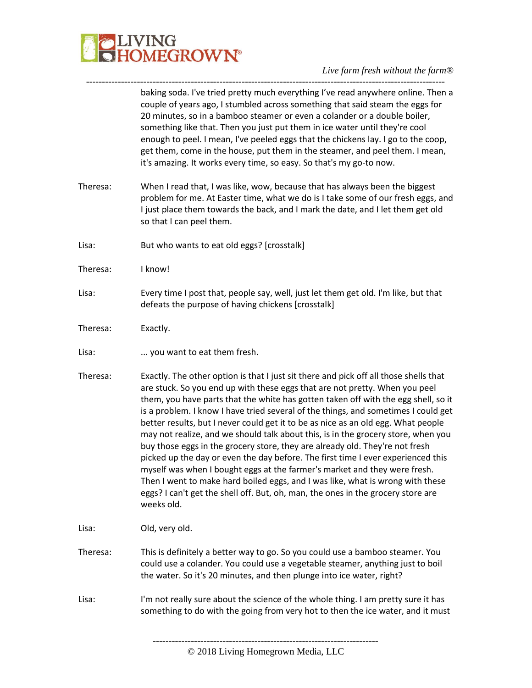

#### *Live farm fresh without the farm®* -----------------------------------------------------------------------------------------------------------------

|          | baking soda. I've tried pretty much everything I've read anywhere online. Then a<br>couple of years ago, I stumbled across something that said steam the eggs for<br>20 minutes, so in a bamboo steamer or even a colander or a double boiler,<br>something like that. Then you just put them in ice water until they're cool<br>enough to peel. I mean, I've peeled eggs that the chickens lay. I go to the coop,<br>get them, come in the house, put them in the steamer, and peel them. I mean,<br>it's amazing. It works every time, so easy. So that's my go-to now.                                                                                                                                                                                                                                                                                                                                                                                       |
|----------|-----------------------------------------------------------------------------------------------------------------------------------------------------------------------------------------------------------------------------------------------------------------------------------------------------------------------------------------------------------------------------------------------------------------------------------------------------------------------------------------------------------------------------------------------------------------------------------------------------------------------------------------------------------------------------------------------------------------------------------------------------------------------------------------------------------------------------------------------------------------------------------------------------------------------------------------------------------------|
| Theresa: | When I read that, I was like, wow, because that has always been the biggest<br>problem for me. At Easter time, what we do is I take some of our fresh eggs, and<br>I just place them towards the back, and I mark the date, and I let them get old<br>so that I can peel them.                                                                                                                                                                                                                                                                                                                                                                                                                                                                                                                                                                                                                                                                                  |
| Lisa:    | But who wants to eat old eggs? [crosstalk]                                                                                                                                                                                                                                                                                                                                                                                                                                                                                                                                                                                                                                                                                                                                                                                                                                                                                                                      |
| Theresa: | I know!                                                                                                                                                                                                                                                                                                                                                                                                                                                                                                                                                                                                                                                                                                                                                                                                                                                                                                                                                         |
| Lisa:    | Every time I post that, people say, well, just let them get old. I'm like, but that<br>defeats the purpose of having chickens [crosstalk]                                                                                                                                                                                                                                                                                                                                                                                                                                                                                                                                                                                                                                                                                                                                                                                                                       |
| Theresa: | Exactly.                                                                                                                                                                                                                                                                                                                                                                                                                                                                                                                                                                                                                                                                                                                                                                                                                                                                                                                                                        |
| Lisa:    | you want to eat them fresh.                                                                                                                                                                                                                                                                                                                                                                                                                                                                                                                                                                                                                                                                                                                                                                                                                                                                                                                                     |
| Theresa: | Exactly. The other option is that I just sit there and pick off all those shells that<br>are stuck. So you end up with these eggs that are not pretty. When you peel<br>them, you have parts that the white has gotten taken off with the egg shell, so it<br>is a problem. I know I have tried several of the things, and sometimes I could get<br>better results, but I never could get it to be as nice as an old egg. What people<br>may not realize, and we should talk about this, is in the grocery store, when you<br>buy those eggs in the grocery store, they are already old. They're not fresh<br>picked up the day or even the day before. The first time I ever experienced this<br>myself was when I bought eggs at the farmer's market and they were fresh.<br>Then I went to make hard boiled eggs, and I was like, what is wrong with these<br>eggs? I can't get the shell off. But, oh, man, the ones in the grocery store are<br>weeks old. |
| Lisa:    | Old, very old.                                                                                                                                                                                                                                                                                                                                                                                                                                                                                                                                                                                                                                                                                                                                                                                                                                                                                                                                                  |
| Theresa: | This is definitely a better way to go. So you could use a bamboo steamer. You<br>could use a colander. You could use a vegetable steamer, anything just to boil<br>the water. So it's 20 minutes, and then plunge into ice water, right?                                                                                                                                                                                                                                                                                                                                                                                                                                                                                                                                                                                                                                                                                                                        |
| Lisa:    | I'm not really sure about the science of the whole thing. I am pretty sure it has<br>something to do with the going from very hot to then the ice water, and it must                                                                                                                                                                                                                                                                                                                                                                                                                                                                                                                                                                                                                                                                                                                                                                                            |
|          |                                                                                                                                                                                                                                                                                                                                                                                                                                                                                                                                                                                                                                                                                                                                                                                                                                                                                                                                                                 |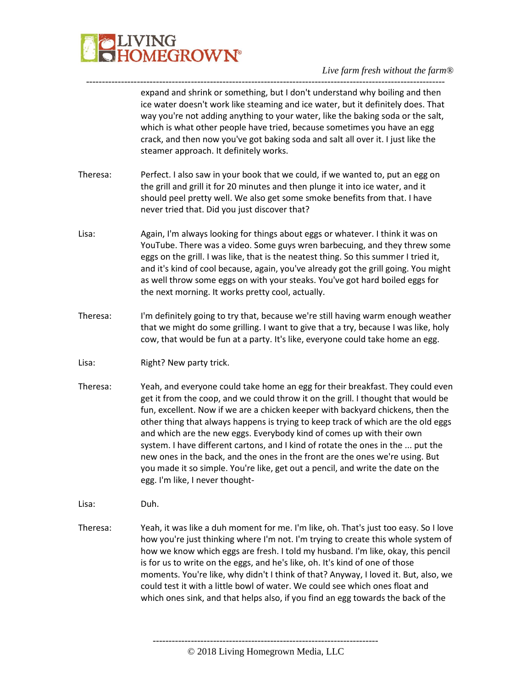

---------------------------------------------------------------------------------------------------------------- expand and shrink or something, but I don't understand why boiling and then ice water doesn't work like steaming and ice water, but it definitely does. That way you're not adding anything to your water, like the baking soda or the salt, which is what other people have tried, because sometimes you have an egg crack, and then now you've got baking soda and salt all over it. I just like the steamer approach. It definitely works. Theresa: Perfect. I also saw in your book that we could, if we wanted to, put an egg on

- the grill and grill it for 20 minutes and then plunge it into ice water, and it should peel pretty well. We also get some smoke benefits from that. I have never tried that. Did you just discover that?
- Lisa: Again, I'm always looking for things about eggs or whatever. I think it was on YouTube. There was a video. Some guys wren barbecuing, and they threw some eggs on the grill. I was like, that is the neatest thing. So this summer I tried it, and it's kind of cool because, again, you've already got the grill going. You might as well throw some eggs on with your steaks. You've got hard boiled eggs for the next morning. It works pretty cool, actually.
- Theresa: I'm definitely going to try that, because we're still having warm enough weather that we might do some grilling. I want to give that a try, because I was like, holy cow, that would be fun at a party. It's like, everyone could take home an egg.
- Lisa: Right? New party trick.
- Theresa: Yeah, and everyone could take home an egg for their breakfast. They could even get it from the coop, and we could throw it on the grill. I thought that would be fun, excellent. Now if we are a chicken keeper with backyard chickens, then the other thing that always happens is trying to keep track of which are the old eggs and which are the new eggs. Everybody kind of comes up with their own system. I have different cartons, and I kind of rotate the ones in the ... put the new ones in the back, and the ones in the front are the ones we're using. But you made it so simple. You're like, get out a pencil, and write the date on the egg. I'm like, I never thought-

Lisa: Duh.

Theresa: Yeah, it was like a duh moment for me. I'm like, oh. That's just too easy. So I love how you're just thinking where I'm not. I'm trying to create this whole system of how we know which eggs are fresh. I told my husband. I'm like, okay, this pencil is for us to write on the eggs, and he's like, oh. It's kind of one of those moments. You're like, why didn't I think of that? Anyway, I loved it. But, also, we could test it with a little bowl of water. We could see which ones float and which ones sink, and that helps also, if you find an egg towards the back of the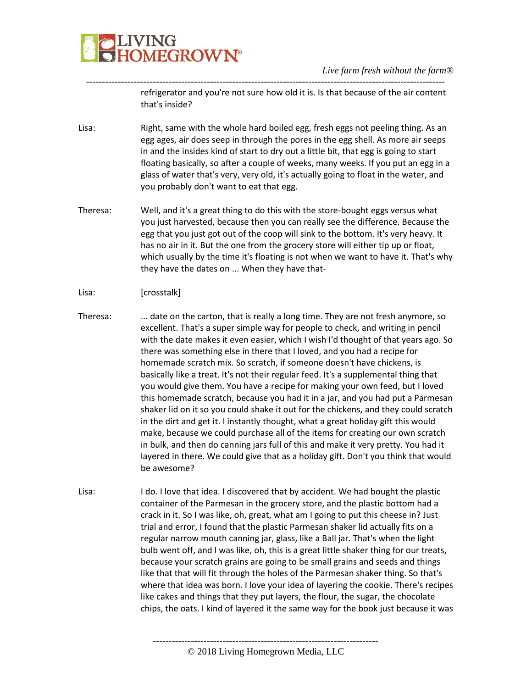

---------------------------------------------------------------------------------------------------------------- refrigerator and you're not sure how old it is. Is that because of the air content that's inside?

- Lisa: Right, same with the whole hard boiled egg, fresh eggs not peeling thing. As an egg ages, air does seep in through the pores in the egg shell. As more air seeps in and the insides kind of start to dry out a little bit, that egg is going to start floating basically, so after a couple of weeks, many weeks. If you put an egg in a glass of water that's very, very old, it's actually going to float in the water, and you probably don't want to eat that egg.
- Theresa: Well, and it's a great thing to do this with the store-bought eggs versus what you just harvested, because then you can really see the difference. Because the egg that you just got out of the coop will sink to the bottom. It's very heavy. It has no air in it. But the one from the grocery store will either tip up or float, which usually by the time it's floating is not when we want to have it. That's why they have the dates on ... When they have that-
- Lisa: [crosstalk]
- Theresa: ... date on the carton, that is really a long time. They are not fresh anymore, so excellent. That's a super simple way for people to check, and writing in pencil with the date makes it even easier, which I wish I'd thought of that years ago. So there was something else in there that I loved, and you had a recipe for homemade scratch mix. So scratch, if someone doesn't have chickens, is basically like a treat. It's not their regular feed. It's a supplemental thing that you would give them. You have a recipe for making your own feed, but I loved this homemade scratch, because you had it in a jar, and you had put a Parmesan shaker lid on it so you could shake it out for the chickens, and they could scratch in the dirt and get it. I instantly thought, what a great holiday gift this would make, because we could purchase all of the items for creating our own scratch in bulk, and then do canning jars full of this and make it very pretty. You had it layered in there. We could give that as a holiday gift. Don't you think that would be awesome?
- Lisa: I do. I love that idea. I discovered that by accident. We had bought the plastic container of the Parmesan in the grocery store, and the plastic bottom had a crack in it. So I was like, oh, great, what am I going to put this cheese in? Just trial and error, I found that the plastic Parmesan shaker lid actually fits on a regular narrow mouth canning jar, glass, like a Ball jar. That's when the light bulb went off, and I was like, oh, this is a great little shaker thing for our treats, because your scratch grains are going to be small grains and seeds and things like that that will fit through the holes of the Parmesan shaker thing. So that's where that idea was born. I love your idea of layering the cookie. There's recipes like cakes and things that they put layers, the flour, the sugar, the chocolate chips, the oats. I kind of layered it the same way for the book just because it was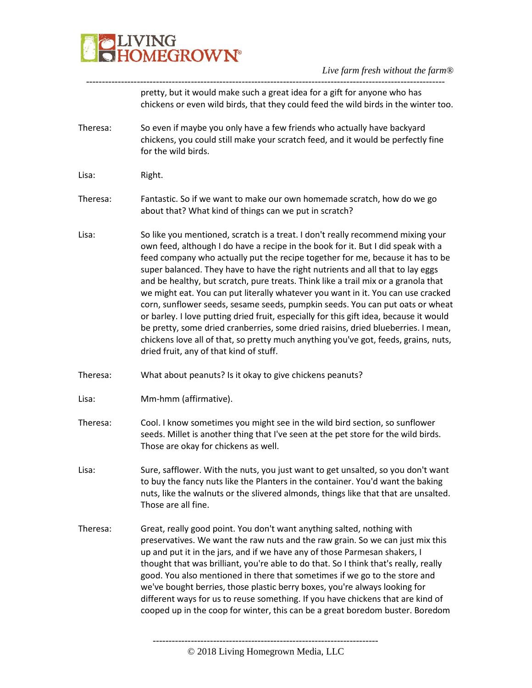

---------------------------------------------------------------------------------------------------------------- pretty, but it would make such a great idea for a gift for anyone who has chickens or even wild birds, that they could feed the wild birds in the winter too.

- Theresa: So even if maybe you only have a few friends who actually have backyard chickens, you could still make your scratch feed, and it would be perfectly fine for the wild birds.
- Lisa: Right.
- Theresa: Fantastic. So if we want to make our own homemade scratch, how do we go about that? What kind of things can we put in scratch?
- Lisa: So like you mentioned, scratch is a treat. I don't really recommend mixing your own feed, although I do have a recipe in the book for it. But I did speak with a feed company who actually put the recipe together for me, because it has to be super balanced. They have to have the right nutrients and all that to lay eggs and be healthy, but scratch, pure treats. Think like a trail mix or a granola that we might eat. You can put literally whatever you want in it. You can use cracked corn, sunflower seeds, sesame seeds, pumpkin seeds. You can put oats or wheat or barley. I love putting dried fruit, especially for this gift idea, because it would be pretty, some dried cranberries, some dried raisins, dried blueberries. I mean, chickens love all of that, so pretty much anything you've got, feeds, grains, nuts, dried fruit, any of that kind of stuff.
- Theresa: What about peanuts? Is it okay to give chickens peanuts?
- Lisa: Mm-hmm (affirmative).
- Theresa: Cool. I know sometimes you might see in the wild bird section, so sunflower seeds. Millet is another thing that I've seen at the pet store for the wild birds. Those are okay for chickens as well.
- Lisa: Sure, safflower. With the nuts, you just want to get unsalted, so you don't want to buy the fancy nuts like the Planters in the container. You'd want the baking nuts, like the walnuts or the slivered almonds, things like that that are unsalted. Those are all fine.
- Theresa: Great, really good point. You don't want anything salted, nothing with preservatives. We want the raw nuts and the raw grain. So we can just mix this up and put it in the jars, and if we have any of those Parmesan shakers, I thought that was brilliant, you're able to do that. So I think that's really, really good. You also mentioned in there that sometimes if we go to the store and we've bought berries, those plastic berry boxes, you're always looking for different ways for us to reuse something. If you have chickens that are kind of cooped up in the coop for winter, this can be a great boredom buster. Boredom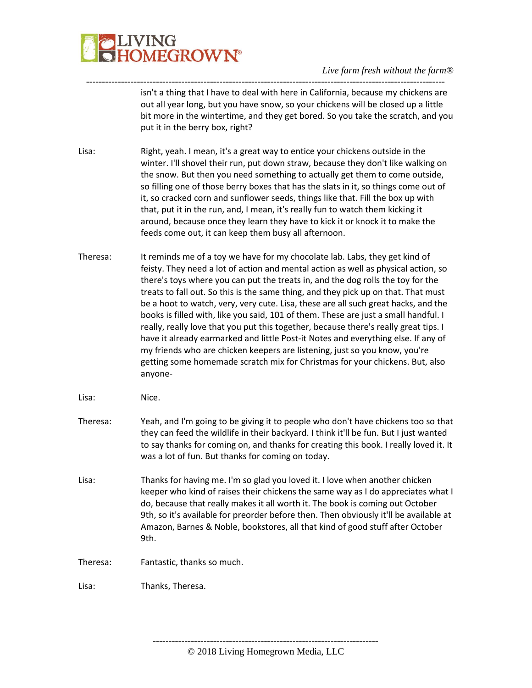

---------------------------------------------------------------------------------------------------------------- isn't a thing that I have to deal with here in California, because my chickens are out all year long, but you have snow, so your chickens will be closed up a little bit more in the wintertime, and they get bored. So you take the scratch, and you put it in the berry box, right?

Lisa: Right, yeah. I mean, it's a great way to entice your chickens outside in the winter. I'll shovel their run, put down straw, because they don't like walking on the snow. But then you need something to actually get them to come outside, so filling one of those berry boxes that has the slats in it, so things come out of it, so cracked corn and sunflower seeds, things like that. Fill the box up with that, put it in the run, and, I mean, it's really fun to watch them kicking it around, because once they learn they have to kick it or knock it to make the feeds come out, it can keep them busy all afternoon.

- Theresa: It reminds me of a toy we have for my chocolate lab. Labs, they get kind of feisty. They need a lot of action and mental action as well as physical action, so there's toys where you can put the treats in, and the dog rolls the toy for the treats to fall out. So this is the same thing, and they pick up on that. That must be a hoot to watch, very, very cute. Lisa, these are all such great hacks, and the books is filled with, like you said, 101 of them. These are just a small handful. I really, really love that you put this together, because there's really great tips. I have it already earmarked and little Post-it Notes and everything else. If any of my friends who are chicken keepers are listening, just so you know, you're getting some homemade scratch mix for Christmas for your chickens. But, also anyone-
- Lisa: Nice.
- Theresa: Yeah, and I'm going to be giving it to people who don't have chickens too so that they can feed the wildlife in their backyard. I think it'll be fun. But I just wanted to say thanks for coming on, and thanks for creating this book. I really loved it. It was a lot of fun. But thanks for coming on today.
- Lisa: Thanks for having me. I'm so glad you loved it. I love when another chicken keeper who kind of raises their chickens the same way as I do appreciates what I do, because that really makes it all worth it. The book is coming out October 9th, so it's available for preorder before then. Then obviously it'll be available at Amazon, Barnes & Noble, bookstores, all that kind of good stuff after October 9th.
- Theresa: Fantastic, thanks so much.
- Lisa: Thanks, Theresa.